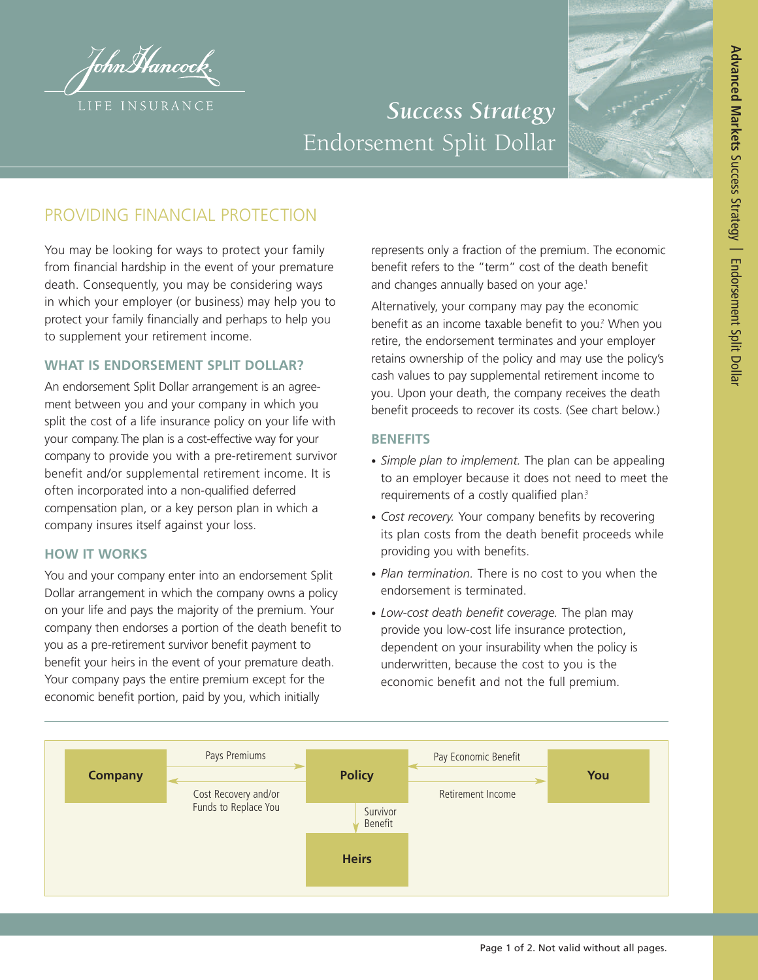tohnMancock. LIFE INSURANCE

# *Success Strategy* Endorsement Split Dollar



# PROVIDING FINANCIAL PROTECTION

You may be looking for ways to protect your family from financial hardship in the event of your premature death. Consequently, you may be considering ways in which your employer (or business) may help you to protect your family financially and perhaps to help you to supplement your retirement income.

## **WHAT IS ENDORSEMENT SPLIT DOLLAR?**

An endorsement Split Dollar arrangement is an agreement between you and your company in which you split the cost of a life insurance policy on your life with your company.The plan is a cost-effective way for your company to provide you with a pre-retirement survivor benefit and/or supplemental retirement income. It is often incorporated into a non-qualified deferred compensation plan, or a key person plan in which a company insures itself against your loss.

## **HOW IT WORKS**

You and your company enter into an endorsement Split Dollar arrangement in which the company owns a policy on your life and pays the majority of the premium. Your company then endorses a portion of the death benefit to you as a pre-retirement survivor benefit payment to benefit your heirs in the event of your premature death. Your company pays the entire premium except for the economic benefit portion, paid by you, which initially

represents only a fraction of the premium. The economic benefit refers to the "term" cost of the death benefit and changes annually based on your age. 1

Alternatively, your company may pay the economic benefit as an income taxable benefit to you. <sup>2</sup> When you retire, the endorsement terminates and your employer retains ownership of the policy and may use the policy's cash values to pay supplemental retirement income to you. Upon your death, the company receives the death benefit proceeds to recover its costs. (See chart below.)

## **BENEFITS**

- *Simple plan to implement.* The plan can be appealing to an employer because it does not need to meet the requirements of a costly qualified plan. 3
- *Cost recovery.* Your company benefits by recovering its plan costs from the death benefit proceeds while providing you with benefits.
- *Plan termination.* There is no cost to you when the endorsement is terminated.
- *Low-cost death benefit coverage.* The plan may provide you low-cost life insurance protection, dependent on your insurability when the policy is underwritten, because the cost to you is the economic benefit and not the full premium.